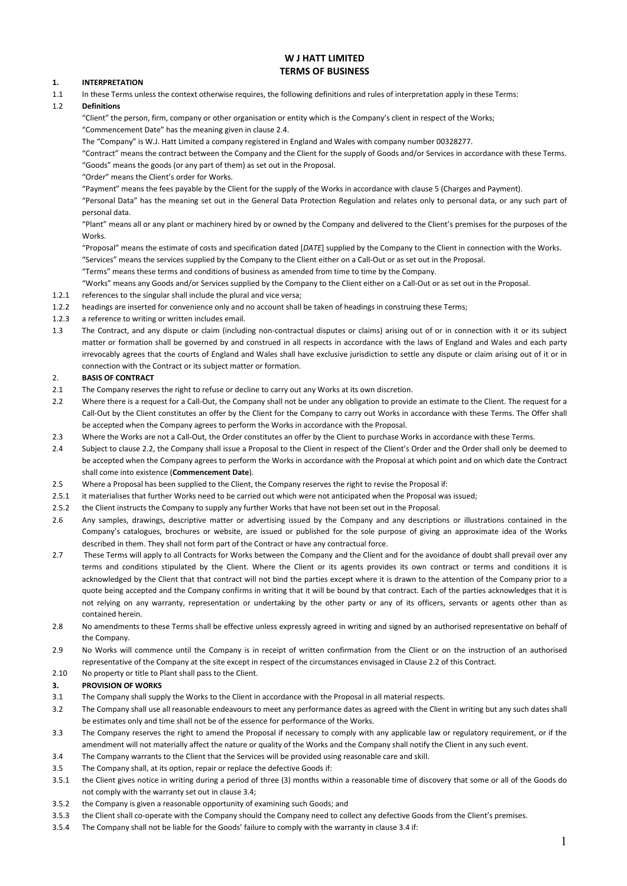# **W J HATT LIMITED TERMS OF BUSINESS**

### **1. INTERPRETATION**

1.1 In these Terms unless the context otherwise requires, the following definitions and rules of interpretation apply in these Terms:

### 1.2 **Definitions**

"Client" the person, firm, company or other organisation or entity which is the Company's client in respect of the Works; "Commencement Date" has the meaning given in clause 2.4.

The "Company" is W.J. Hatt Limited a company registered in England and Wales with company number 00328277.

"Contract" means the contract between the Company and the Client for the supply of Goods and/or Services in accordance with these Terms. "Goods" means the goods (or any part of them) as set out in the Proposal.

"Order" means the Client's order for Works.

"Payment" means the fees payable by the Client for the supply of the Works in accordance with clause 5 (Charges and Payment).

"Personal Data" has the meaning set out in the General Data Protection Regulation and relates only to personal data, or any such part of personal data.

"Plant" means all or any plant or machinery hired by or owned by the Company and delivered to the Client's premises for the purposes of the **Works** 

"Proposal" means the estimate of costs and specification dated [*DATE*] supplied by the Company to the Client in connection with the Works. "Services" means the services supplied by the Company to the Client either on a Call-Out or as set out in the Proposal.

"Terms" means these terms and conditions of business as amended from time to time by the Company.

"Works" means any Goods and/or Services supplied by the Company to the Client either on a Call-Out or as set out in the Proposal.

- 1.2.1 references to the singular shall include the plural and vice versa;
- 1.2.2 headings are inserted for convenience only and no account shall be taken of headings in construing these Terms;
- 1.2.3 a reference to writing or written includes email.
- 1.3 The Contract, and any dispute or claim (including non-contractual disputes or claims) arising out of or in connection with it or its subject matter or formation shall be governed by and construed in all respects in accordance with the laws of England and Wales and each party irrevocably agrees that the courts of England and Wales shall have exclusive jurisdiction to settle any dispute or claim arising out of it or in connection with the Contract or its subject matter or formation.

### 2. **BASIS OF CONTRACT**

- 2.1 The Company reserves the right to refuse or decline to carry out any Works at its own discretion.
- 2.2 Where there is a request for a Call-Out, the Company shall not be under any obligation to provide an estimate to the Client. The request for a Call-Out by the Client constitutes an offer by the Client for the Company to carry out Works in accordance with these Terms. The Offer shall be accepted when the Company agrees to perform the Works in accordance with the Proposal.
- 2.3 Where the Works are not a Call-Out, the Order constitutes an offer by the Client to purchase Works in accordance with these Terms.
- 2.4 Subject to clause 2.2, the Company shall issue a Proposal to the Client in respect of the Client's Order and the Order shall only be deemed to be accepted when the Company agrees to perform the Works in accordance with the Proposal at which point and on which date the Contract shall come into existence (**Commencement Date**).
- 2.5 Where a Proposal has been supplied to the Client, the Company reserves the right to revise the Proposal if:
- 2.5.1 it materialises that further Works need to be carried out which were not anticipated when the Proposal was issued;
- 2.5.2 the Client instructs the Company to supply any further Works that have not been set out in the Proposal.
- 2.6 Any samples, drawings, descriptive matter or advertising issued by the Company and any descriptions or illustrations contained in the Company's catalogues, brochures or website, are issued or published for the sole purpose of giving an approximate idea of the Works described in them. They shall not form part of the Contract or have any contractual force.
- 2.7 These Terms will apply to all Contracts for Works between the Company and the Client and for the avoidance of doubt shall prevail over any terms and conditions stipulated by the Client. Where the Client or its agents provides its own contract or terms and conditions it is acknowledged by the Client that that contract will not bind the parties except where it is drawn to the attention of the Company prior to a quote being accepted and the Company confirms in writing that it will be bound by that contract. Each of the parties acknowledges that it is not relying on any warranty, representation or undertaking by the other party or any of its officers, servants or agents other than as contained herein.
- 2.8 No amendments to these Terms shall be effective unless expressly agreed in writing and signed by an authorised representative on behalf of the Company.
- 2.9 No Works will commence until the Company is in receipt of written confirmation from the Client or on the instruction of an authorised representative of the Company at the site except in respect of the circumstances envisaged in Clause 2.2 of this Contract.
- 2.10 No property or title to Plant shall pass to the Client.

### **3. PROVISION OF WORKS**

- 3.1 The Company shall supply the Works to the Client in accordance with the Proposal in all material respects.
- 3.2 The Company shall use all reasonable endeavours to meet any performance dates as agreed with the Client in writing but any such dates shall be estimates only and time shall not be of the essence for performance of the Works.
- 3.3 The Company reserves the right to amend the Proposal if necessary to comply with any applicable law or regulatory requirement, or if the amendment will not materially affect the nature or quality of the Works and the Company shall notify the Client in any such event.
- 3.4 The Company warrants to the Client that the Services will be provided using reasonable care and skill.
- 3.5 The Company shall, at its option, repair or replace the defective Goods if:
- 3.5.1 the Client gives notice in writing during a period of three (3) months within a reasonable time of discovery that some or all of the Goods do not comply with the warranty set out in clause 3.4;
- 3.5.2 the Company is given a reasonable opportunity of examining such Goods; and
- 3.5.3 the Client shall co-operate with the Company should the Company need to collect any defective Goods from the Client's premises.
- 3.5.4 The Company shall not be liable for the Goods' failure to comply with the warranty in clause 3.4 if: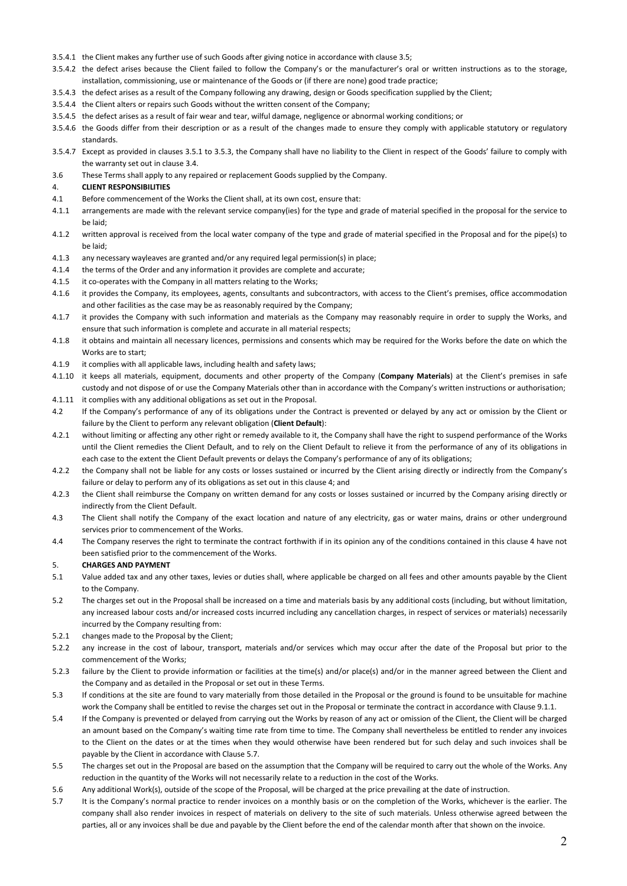- 3.5.4.1 the Client makes any further use of such Goods after giving notice in accordance with clause 3.5;
- 3.5.4.2 the defect arises because the Client failed to follow the Company's or the manufacturer's oral or written instructions as to the storage,
- installation, commissioning, use or maintenance of the Goods or (if there are none) good trade practice;
- 3.5.4.3 the defect arises as a result of the Company following any drawing, design or Goods specification supplied by the Client;
- 3.5.4.4 the Client alters or repairs such Goods without the written consent of the Company;
- 3.5.4.5 the defect arises as a result of fair wear and tear, wilful damage, negligence or abnormal working conditions; or
- 3.5.4.6 the Goods differ from their description or as a result of the changes made to ensure they comply with applicable statutory or regulatory standards.
- 3.5.4.7 Except as provided in clauses 3.5.1 to 3.5.3, the Company shall have no liability to the Client in respect of the Goods' failure to comply with the warranty set out in clause 3.4.
- 3.6 These Terms shall apply to any repaired or replacement Goods supplied by the Company.

#### 4. **CLIENT RESPONSIBILITIES**

- 4.1 Before commencement of the Works the Client shall, at its own cost, ensure that:
- 4.1.1 arrangements are made with the relevant service company(ies) for the type and grade of material specified in the proposal for the service to be laid;
- 4.1.2 written approval is received from the local water company of the type and grade of material specified in the Proposal and for the pipe(s) to be laid;
- 4.1.3 any necessary wayleaves are granted and/or any required legal permission(s) in place;
- 4.1.4 the terms of the Order and any information it provides are complete and accurate;
- 4.1.5 it co-operates with the Company in all matters relating to the Works;
- 4.1.6 it provides the Company, its employees, agents, consultants and subcontractors, with access to the Client's premises, office accommodation and other facilities as the case may be as reasonably required by the Company;
- 4.1.7 it provides the Company with such information and materials as the Company may reasonably require in order to supply the Works, and ensure that such information is complete and accurate in all material respects;
- 4.1.8 it obtains and maintain all necessary licences, permissions and consents which may be required for the Works before the date on which the Works are to start;
- 4.1.9 it complies with all applicable laws, including health and safety laws;
- 4.1.10 it keeps all materials, equipment, documents and other property of the Company (**Company Materials**) at the Client's premises in safe custody and not dispose of or use the Company Materials other than in accordance with the Company's written instructions or authorisation; 4.1.11 it complies with any additional obligations as set out in the Proposal.
- 4.2 If the Company's performance of any of its obligations under the Contract is prevented or delayed by any act or omission by the Client or failure by the Client to perform any relevant obligation (**Client Default**):
- 4.2.1 without limiting or affecting any other right or remedy available to it, the Company shall have the right to suspend performance of the Works until the Client remedies the Client Default, and to rely on the Client Default to relieve it from the performance of any of its obligations in each case to the extent the Client Default prevents or delays the Company's performance of any of its obligations;
- 4.2.2 the Company shall not be liable for any costs or losses sustained or incurred by the Client arising directly or indirectly from the Company's failure or delay to perform any of its obligations as set out in this clause 4; and
- 4.2.3 the Client shall reimburse the Company on written demand for any costs or losses sustained or incurred by the Company arising directly or indirectly from the Client Default.
- 4.3 The Client shall notify the Company of the exact location and nature of any electricity, gas or water mains, drains or other underground services prior to commencement of the Works.
- 4.4 The Company reserves the right to terminate the contract forthwith if in its opinion any of the conditions contained in this clause 4 have not been satisfied prior to the commencement of the Works.

### 5. **CHARGES AND PAYMENT**

- 5.1 Value added tax and any other taxes, levies or duties shall, where applicable be charged on all fees and other amounts payable by the Client to the Company.
- 5.2 The charges set out in the Proposal shall be increased on a time and materials basis by any additional costs (including, but without limitation, any increased labour costs and/or increased costs incurred including any cancellation charges, in respect of services or materials) necessarily incurred by the Company resulting from:
- 5.2.1 changes made to the Proposal by the Client;
- 5.2.2 any increase in the cost of labour, transport, materials and/or services which may occur after the date of the Proposal but prior to the commencement of the Works;
- 5.2.3 failure by the Client to provide information or facilities at the time(s) and/or place(s) and/or in the manner agreed between the Client and the Company and as detailed in the Proposal or set out in these Terms.
- 5.3 If conditions at the site are found to vary materially from those detailed in the Proposal or the ground is found to be unsuitable for machine work the Company shall be entitled to revise the charges set out in the Proposal or terminate the contract in accordance with Clause 9.1.1.
- 5.4 If the Company is prevented or delayed from carrying out the Works by reason of any act or omission of the Client, the Client will be charged an amount based on the Company's waiting time rate from time to time. The Company shall nevertheless be entitled to render any invoices to the Client on the dates or at the times when they would otherwise have been rendered but for such delay and such invoices shall be payable by the Client in accordance with Clause 5.7.
- 5.5 The charges set out in the Proposal are based on the assumption that the Company will be required to carry out the whole of the Works. Any reduction in the quantity of the Works will not necessarily relate to a reduction in the cost of the Works.
- 5.6 Any additional Work(s), outside of the scope of the Proposal, will be charged at the price prevailing at the date of instruction.
- 5.7 It is the Company's normal practice to render invoices on a monthly basis or on the completion of the Works, whichever is the earlier. The company shall also render invoices in respect of materials on delivery to the site of such materials. Unless otherwise agreed between the parties, all or any invoices shall be due and payable by the Client before the end of the calendar month after that shown on the invoice.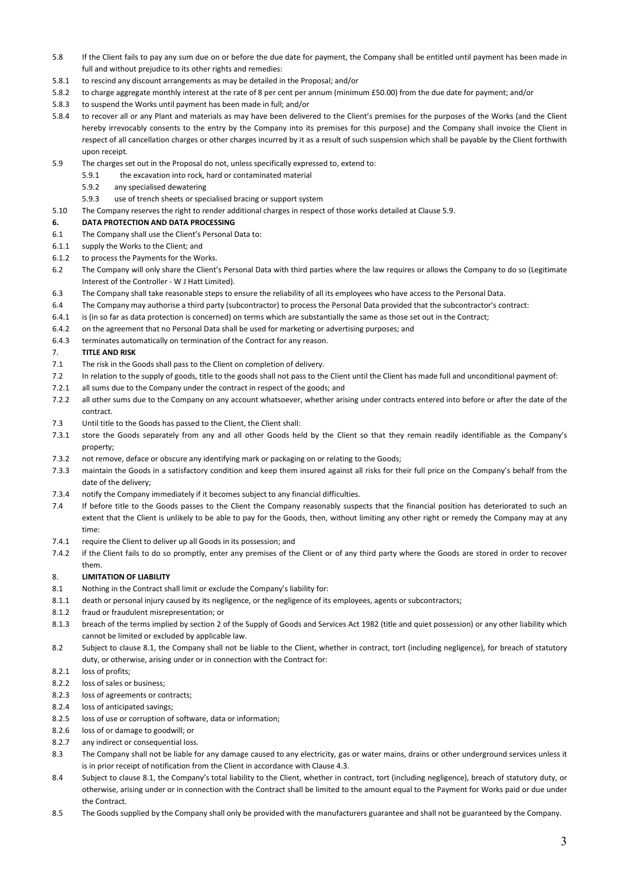- 5.8 If the Client fails to pay any sum due on or before the due date for payment, the Company shall be entitled until payment has been made in full and without prejudice to its other rights and remedies:
- 5.8.1 to rescind any discount arrangements as may be detailed in the Proposal; and/or
- 5.8.2 to charge aggregate monthly interest at the rate of 8 per cent per annum (minimum £50.00) from the due date for payment; and/or
- 5.8.3 to suspend the Works until payment has been made in full; and/or
- 5.8.4 to recover all or any Plant and materials as may have been delivered to the Client's premises for the purposes of the Works (and the Client hereby irrevocably consents to the entry by the Company into its premises for this purpose) and the Company shall invoice the Client in respect of all cancellation charges or other charges incurred by it as a result of such suspension which shall be payable by the Client forthwith upon receipt.
- 5.9 The charges set out in the Proposal do not, unless specifically expressed to, extend to:
	- 5.9.1 the excavation into rock, hard or contaminated material
		- 5.9.2 any specialised dewatering
		- 5.9.3 use of trench sheets or specialised bracing or support system
- 5.10 The Company reserves the right to render additional charges in respect of those works detailed at Clause 5.9.

### **6. DATA PROTECTION AND DATA PROCESSING**

- 6.1 The Company shall use the Client's Personal Data to:
- 6.1.1 supply the Works to the Client; and
- 6.1.2 to process the Payments for the Works.
- 6.2 The Company will only share the Client's Personal Data with third parties where the law requires or allows the Company to do so (Legitimate Interest of the Controller - W J Hatt Limited).
- 6.3 The Company shall take reasonable steps to ensure the reliability of all its employees who have access to the Personal Data.
- 6.4 The Company may authorise a third party (subcontractor) to process the Personal Data provided that the subcontractor's contract:
- 6.4.1 is (in so far as data protection is concerned) on terms which are substantially the same as those set out in the Contract;
- 6.4.2 on the agreement that no Personal Data shall be used for marketing or advertising purposes; and
- 6.4.3 terminates automatically on termination of the Contract for any reason.

### 7. **TITLE AND RISK**

- 7.1 The risk in the Goods shall pass to the Client on completion of delivery.
- 7.2 In relation to the supply of goods, title to the goods shall not pass to the Client until the Client has made full and unconditional payment of:
- 7.2.1 all sums due to the Company under the contract in respect of the goods; and
- 7.2.2 all other sums due to the Company on any account whatsoever, whether arising under contracts entered into before or after the date of the contract.
- 7.3 Until title to the Goods has passed to the Client, the Client shall:
- 7.3.1 store the Goods separately from any and all other Goods held by the Client so that they remain readily identifiable as the Company's property;
- 7.3.2 not remove, deface or obscure any identifying mark or packaging on or relating to the Goods;
- 7.3.3 maintain the Goods in a satisfactory condition and keep them insured against all risks for their full price on the Company's behalf from the date of the delivery;
- 7.3.4 notify the Company immediately if it becomes subject to any financial difficulties.
- 7.4 If before title to the Goods passes to the Client the Company reasonably suspects that the financial position has deteriorated to such an extent that the Client is unlikely to be able to pay for the Goods, then, without limiting any other right or remedy the Company may at any time:
- 7.4.1 require the Client to deliver up all Goods in its possession; and
- 7.4.2 if the Client fails to do so promptly, enter any premises of the Client or of any third party where the Goods are stored in order to recover them.

# 8. **LIMITATION OF LIABILITY**

- 8.1 Nothing in the Contract shall limit or exclude the Company's liability for:
- 8.1.1 death or personal injury caused by its negligence, or the negligence of its employees, agents or subcontractors;
- 8.1.2 fraud or fraudulent misrepresentation; or
- 8.1.3 breach of the terms implied by section 2 of the Supply of Goods and Services Act 1982 (title and quiet possession) or any other liability which cannot be limited or excluded by applicable law.
- 8.2 Subject to clause 8.1, the Company shall not be liable to the Client, whether in contract, tort (including negligence), for breach of statutory duty, or otherwise, arising under or in connection with the Contract for:
- 8.2.1 loss of profits;
- 8.2.2 loss of sales or business;
- 8.2.3 loss of agreements or contracts;
- 8.2.4 loss of anticipated savings;
- 8.2.5 loss of use or corruption of software, data or information;
- 8.2.6 loss of or damage to goodwill; or
- 8.2.7 any indirect or consequential loss.
- 8.3 The Company shall not be liable for any damage caused to any electricity, gas or water mains, drains or other underground services unless it is in prior receipt of notification from the Client in accordance with Clause 4.3.
- 8.4 Subject to clause 8.1, the Company's total liability to the Client, whether in contract, tort (including negligence), breach of statutory duty, or otherwise, arising under or in connection with the Contract shall be limited to the amount equal to the Payment for Works paid or due under the Contract.
- 8.5 The Goods supplied by the Company shall only be provided with the manufacturers guarantee and shall not be guaranteed by the Company.